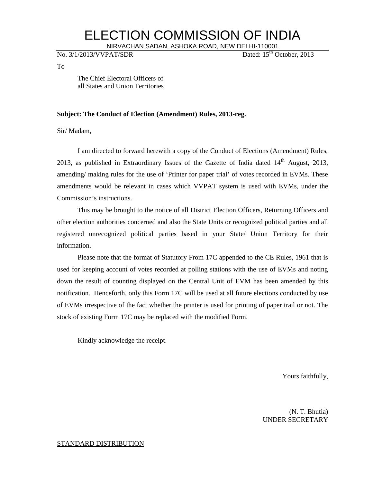## ELECTION COMMISSION OF INDIA

NIRVACHAN SADAN, ASHOKA ROAD, NEW DELHI-110001<br>PAT/SDR Dated: 15<sup>th</sup> October, 2013

No. 3/1/2013/VVPAT/SDR

To

The Chief Electoral Officers of all States and Union Territories

#### **Subject: The Conduct of Election (Amendment) Rules, 2013-reg.**

Sir/ Madam,

I am directed to forward herewith a copy of the Conduct of Elections (Amendment) Rules, 2013, as published in Extraordinary Issues of the Gazette of India dated  $14<sup>th</sup>$  August, 2013, amending/ making rules for the use of 'Printer for paper trial' of votes recorded in EVMs. These amendments would be relevant in cases which VVPAT system is used with EVMs, under the Commission's instructions.

This may be brought to the notice of all District Election Officers, Returning Officers and other election authorities concerned and also the State Units or recognized political parties and all registered unrecognized political parties based in your State/ Union Territory for their information.

Please note that the format of Statutory From 17C appended to the CE Rules, 1961 that is used for keeping account of votes recorded at polling stations with the use of EVMs and noting down the result of counting displayed on the Central Unit of EVM has been amended by this notification. Henceforth, only this Form 17C will be used at all future elections conducted by use of EVMs irrespective of the fact whether the printer is used for printing of paper trail or not. The stock of existing Form 17C may be replaced with the modified Form.

Kindly acknowledge the receipt.

Yours faithfully,

(N. T. Bhutia) UNDER SECRETARY

#### STANDARD DISTRIBUTION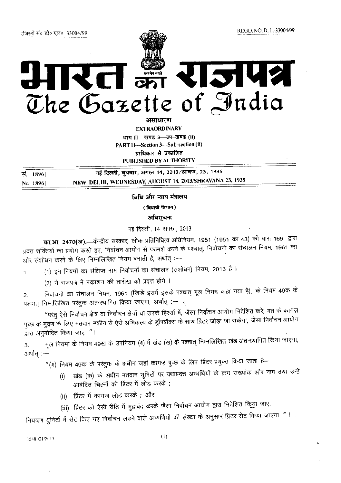# **12142** V. सत्यमेव जयते<br>अन्यन्त The Gazette of India

असाधारण

**EXTRAORDINARY** भाग ।।-स्वण्ड 3-3प-खण्ड (ii) PART II-Section 3-Sub-section (ii) पाधिकार से प्रकाशित

PUBLISHED BY AUTHORITY

नई दिल्ली, बुधवार, अगस्त 14, 2013/श्रावण, 23, 1935 सं. 18961 NEW DELHI, WEDNESDAY, AUGUST 14, 2013/SHRAVANA 23, 1935 No. 18961

विधि और न्याय मंत्रालय

(विधायी विभाग)

अधिसूचना

नई दिल्ली, 14 अगस्त, 2013

का.आ. 2470(अ).—केन्द्रीय सरकार, लोक प्रतिनिधित्व अधिनियम, 1951 (1951 का 43) की धारा 169 द्वारा प्रदत्त शक्तियों का प्रयोग करते हुए, निर्वाचन आयोग से परामर्श करने के पश्चात्, निर्वाचनों का संचालन नियम, 1961 का और संशोधन करने के लिए निम्नलिखित नियम बनाती है, अर्थात् :—

(1) इन नियमों का संक्षिप्त नाम निर्वाचनों का संचालन (संशोधन) नियम, 2013 है ।  $\mathbf{1}$ .

(2) ये राजपत्र में प्रकाशन की तारीख को प्रवृत्त होंगे ।

निर्वाचनों का संचालन नियम, 1961 (जिन्हे इसमें इसके पश्चात् मूल नियम कहा गया है), के नियम 49क के  $\overline{2}$ . पश्चात् निम्नलिखित परंतुक अंतःस्थापित किया जाएगा, अर्थात् :- ह

"परंतु ऐसे निर्वाचन क्षेत्र या निर्वाचन क्षेत्रों या उनके हिस्सों में, जैसा निर्वाचन आयोग निदेशित करे, मत के कागज़ पुच्छ के मुद्रण के लिए मतदान मशीन से ऐसे अभिकल्प के ड्रॉपबॉक्स के साथ प्रिंटर जोड़ा जा सकेगा, जैसा निर्वाचन आयोग द्वारा अनुमोदित किया जाए ।"।

मूल नियमों के नियम 49ख के उपनियम (4) में खंड (ख) के पश्चात् निम्नलिखित खंड अंतःस्थापित किया जाएगा, 3. अर्थात :-

"(ग) नियम 49क के परंतुक के अधीन जहां कागज़ पुच्छ के लिए प्रिंटर प्रयुक्त किया जाता है—

- (i) खंड (क) के अधीन मतदान यूनिटों पर यथाप्रदत्त अभ्यर्थियों के क्रम संख्यांक और नाम तथा उन्हें आबंटित चिह्नों को प्रिंटर में लोड करके ;
	- (ii) प्रिंटर में कागज़ लोड करके; और
	- (iii) प्रिंटर को ऐसी रीति में मुद्राबंद करके जैसा निर्वाचन आयोग द्वारा निदेशित किया जाए,

नियंत्रण युनिटों में सेट किए गए निर्वाचन लड़ने वाले अभ्यर्थियों की संख्या के अनुसार प्रिंटर सेट किया जाएगा ।"।

#### 3548 G1/2013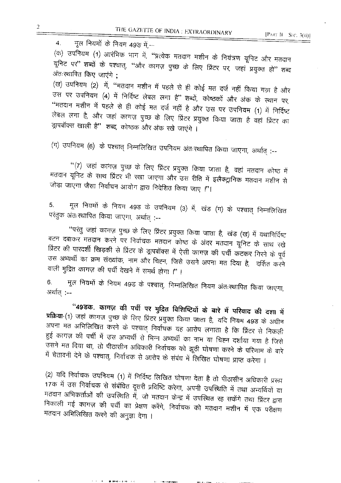मूल नियमों के नियम 49ङ में,-- $\overline{4}$ .

(क) उपनियम (1) आरंभिक भाग में, ''प्रत्येक मतदान मशीन के नियंत्रण यूनिट और मतदान यूनिट पर" शब्दों के पश्चात्, "और कागज़ पुच्छ के लिए प्रिंटर पर, जहां प्रयुक्त हो" शब्द अंतःख्यापित किए जाएंगे ;

(ख) उपनियम (2) में, "मतदान मशीन में पहले से ही कोई मत दर्ज नहीं किया गय़ा है और उस पर उपनियम (4) में निर्दिष्ट लेबल लगा है" शब्दों, कोष्ठकों और अंक के स्थान पर, "मतदान मशीन में पहले से ही कोई मत दर्ज नहीं है और उस पर उपनियम (1) में निर्दिष्ट लेबल लगा है, और जहां कागज़ पुच्छ के लिए प्रिंटर प्रयुक्त किया जाता है वहां प्रिंटर का झुपबॉक्स खाली है" शब्द, कोष्ठक और अंक रखे जाएंगे ।

(ग) उपनियम (6) के पश्चात् निम्नलिखित उपनियम अंतःस्थापित किया जाएगा, अर्थात् :--

"(7) जहां कांगज़ पुच्छ के लिए प्रिंटर प्रयुक्त किया जाता है, वहां मतदान कोष्ठ में मतदान यूनिट के साथ प्रिंटर भी रखा जाएगा और उस रीति में इलैक्ट्रानिक मतदान मशीन से जोड़ा जाएगा जैसा निर्वाचन आयोग द्वारा निदेशित किया जाए ।''।

मूल नियमों के नियम 49ड के उपनियम (3) में, खंड (ग) के पश्चात् निम्नलिखित 5. परंतुक अंतःस्थापित किया जाएगा, अर्थात् :--

''परंतु जहां कागज़ पुच्छ के लिए प्रिंटर प्रयुक्त किया जाता है, खंड (ख) में यथानिर्दिष्ट बटन दबाकर मतदान करने पर निर्वाचक मतदान कोष्ठ के अंदर मतदान यूनिट के साथ रखे प्रिंटर की पारदर्शी खिड़की से प्रिंटर के ड्रापबॉक्स में ऐसी कागज़ की पर्ची कटकर गिरने के पूर्व उस अभ्यर्थी का क्रम संख्यांक, नाम और चिह्न, जिसे उसने अपना मत दिया है, दर्शित करने वाली मुद्रित कागज़ की पर्ची देखने में समर्थ होगा !''।

मूल नियमों के नियम 49ड के पश्चात्, निम्नलिखित नियम अंतःस्थापित किया जाएगा,  $6.$ अर्थात् :--

"49ड़क. कागज़ की पर्ची पर मुद्रित विशिष्टियों के बारे में परिवाद की दशा में प्रक्रिया-(1) जहां कागज़ पुच्छ के लिए प्रिंटर प्रयुक्त किया जाता है, यदि नियम 49ड के अधीन अपना मत अभिलिखित करने के पश्चात् निर्वाचक यह आरोप लगाता है कि प्रिंटर से निकली हुई कागज़ की पर्ची में उस अभ्यर्थी से भिन्न अभ्यर्थी का नाम या चिह्न दर्शाया गया है जिसे उसने मत दिया था, तो पीठासीन अधिकारी निर्वाचक को झूठी घोषणा करने के परिणाम के बारे में चेतावनी देने के पश्चात्, निर्वाचक से आरोप के संबंध में लिखित घोषणा प्राप्त करेगा ।

(2) यदि निर्वाचक उपनियम (1) में निर्दिष्ट लिखित घोषणा देता है तो पीठासीन अधिकारी प्ररूप 17क में उस निर्वाचक से संबंधित दूसरी प्रविष्टि करेगा, अपनी उपस्थिति में तथा अभ्यर्थियों या मतदान अभिकर्ताओं की उपस्थिति में, जो मतदान केन्द्र में उपस्थित रह सकेंगे तथा प्रिंटर द्वारा निकाली गई कागज़ की पर्ची का प्रेक्षण करेंगे, निर्वाचक को मतदान मशीन में एक परीक्षण मतदान अभिलिखित करने की अनुज्ञा देगा ।

**BURGHARD ESPECTACI**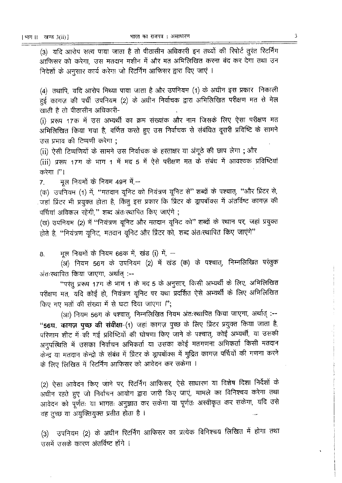(3) यदि आरोप सत्य पाया जाता है तो पीठासीन अधिकारी इन तथ्यों की रिपोर्ट तुरंत रिटर्निंग आफिसर को करेगा, उस मतदान मशीन में और मत अभिलिखित करना बंद कर देगा तथा उन निदेशों के अनुसार कार्य करेगा जो रिटर्निंग आफिसर द्वारा दिए जाएं ।

(4) तथापि, यदि आरोप मिथ्या पाया जाता है और उपनियम (1) के अधीन इस प्रकार निकाली हुई कागज़ की पर्ची उपनियम (2) के अधीन निर्वाचक द्वारा अभिलिखित परीक्षण मत से मेल खाती है तो पीठासीन अधिकारी-

(i) प्ररूप 17क में उस अभ्यर्थी का क्रम संख्यांक और नाम जिसके लिए ऐसा परीक्षण मत अभिलिखित किया गया है, वर्णित करते हुए उस निर्वाचक से संबंधित दूसरी प्रविष्टि के सामने उस प्रभाव की टिप्पणी करेगा :

(ii) ऐसी टिप्पणियों के सामने उस निर्वाचक के हस्ताक्षर या अंगूठे की छाप लेगा ; और

(iii) प्ररूप 17ग के भाग 1 में मद 5 में ऐसे परीक्षण मत के संबंध में आवश्यक प्रविष्टियां करेगा ।"।

मूल नियमों के नियम 49न में,-- $7<sup>1</sup>$ 

(क) उपनियम (1) में, "मतदान यूनिट को नियंत्रण यूनिट से" शब्दों के पश्चात्, "और प्रिंटर से, जहां प्रिंटर भी प्रयुक्त होता है, किंतु इस प्रकार कि प्रिंटर के ड्रापबॉक्स में अंतर्विष्ट कागज़ की पर्चियां अविकल रहेंगी," शब्द अंतःस्थापित किए जाएंगे ;

(ख) उपनियम (2) में "नियंत्रण यूनिट और मतदान यूनिट को" शब्दों के स्थान पर, जहां प्रयुक्त होते है. "नियंत्रण यनिट, मतदान यनिट और प्रिंटर को, शब्द अंतःस्थापित किए जाएंगे"

मुल नियमों के नियम 66क में, खंड (i) में, — 8.

(अ) नियम 56ग के उपनियम (2) में खंड (क) के पश्चात्, निम्नलिखित परंतुक अंतःस्थापित किया जाएगा, अर्थात :--

"परंतु प्ररूप 17ग के भाग 1 के मद 5 के अनुसार, किसी अभ्यर्थी के लिए, अभिलिखित परीक्षण मत, यदि कोई हो, नियंत्रण यूनिट पर यथा प्रदर्शित ऐसे अभ्यर्थी के लिए अभिलिखित किए गए मतों की संख्या में से घटा दिया जाएगा !'';

(आ) नियम 56ग के पश्चात्, निम्नलिखित नियम अंतःस्थापित किया जाएगा, अर्थात् :--"56घ. कागज़ पुच्छ की संवीक्षा-(1) जहां कागज़ पुच्छ के लिए प्रिंटर प्रयुक्त किया जाता है, परिणाम शीट में की गई प्रविष्टियों की घोषणा किए जाने के पश्चात्, कोई अभ्यर्थी, या उसकी अनुपस्थिति में उसका निर्वाचन अभिकर्ता या उसका कोई मतगणना अभिकर्ता किसी मतदान केन्द्र या मतदान केन्द्रो के संबंध में प्रिंटर के ड्रापबॉक्स में मुद्रित कागज़ पर्चियों की गणना करने के लिए लिखित में रिटर्निंग आफिसर को आवेदन कर सकेगा ।

(2) ऐसा आवेदन किए जाने पर, रिटर्निंग आफिसर, ऐसे साधारण या विशेष दिशा निर्देशों के अधीन रहते हुए जो निर्वाचन आयोग द्वारा जारी किए जाएं, मामले का विनिश्चय करेगा तथा आवेदन को पूर्णतः या भागतः अनुज्ञात कर सकेगा या पूर्णतः अस्वीकृत कर सकेगा, यदि उसे वह तूच्छ या अयुक्तियुक्त प्रतीत होता है।

(3) उपनियम (2) के अधीन रिटर्निंग आफिसर का प्रत्येक विनिश्चय लिखित में होगा तथा उसमें उसके कारण अंतर्विष्ट होंगे ।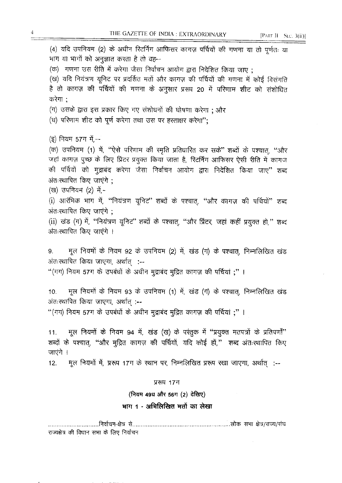[PART II SEC. 3(ii)]

(4) यदि उपनियम (2) के अधीन रिटर्निंग आफिसर कागज़ पर्चियों की गणना या तो पूर्णतः या भाग या भागों को अनुज्ञात करता है तो वह— (क) गणना उस रीति में करेगा जैसा निर्वाचन आयोग द्वारा निदेशित किया जाए: (ख) यदि नियंत्रण यूनिट पर प्रदर्शित मतों और कागज़ की पर्चियों की गणना में कोई विसंगति है तो कागज़ की पर्चियों की गणना के अनुसार प्ररूप 20 में परिणाम शीट को संशोधित करेगा : (ग) उसके द्वारा इस प्रकार किए गए संशोधनों की घोषणा करेगा ; और (घ) परिणाम शीट को पूर्ण करेगा तथा उस पर हस्ताक्षर करेगा"; (इ) नियम 57ग में --(क) उपनियम (1) में, "ऐसे परिणाम की स्मृति प्रतिधारित कर सके" शब्दों के पश्चात, "और जहां कागज़ पुच्छ के लिए प्रिंटर प्रयुक्त किया जाता है, रिटर्निंग आफिसर ऐसी रीति में कागज की पर्चियों को मुझबंद करेगा जैसा निर्वाचन आयोग द्वारा निदेशित किया जाए" शब्द अंतः स्थापित किए जाएंगे: (ख) उपनियम (2) में,-(i) आरंभिक भाग में, "नियंत्रण यूनिट" शब्दों के पश्चात, "और कागज़ की पर्चियों" शब्द अंतःस्थापित किए जाएंगे ; (ii) खंड (ग) में, "नियंत्रण यूनिट" शब्दों के पश्चात, "और प्रिंटर, जहां कहीं प्रयुक्त हो," शब्द अंतःस्थापित किए जाएंगे । मूल नियमों के नियम 92 के उपनियम (2) में, खंड (ग) के पश्चात, निम्नलिखित खंड 9. अंतःस्थापित किया जाएगा, अर्थात् :--"(गग) नियम 57ग के उपबंधों के अधीन मुद्राबंद मुद्रित कागज़ की पर्चियां ;"। मूल नियमों के नियम 93 के उपनियम (1) में, खंड (ग) के पश्चात, निम्नलिखित खंड 10. अंतःस्थापित किया जाएगा, अर्थात् :--"(गग) नियम 57ग के उपबंधों के अधीन मुद्राबंद मुद्रित कागज़ की पर्चियां ;" । मूल नियमों के नियम 94 में, खंड (ख) के परंतुक में "प्रयुक्त मतपत्रों के प्रतिपर्णों"  $11.$ शब्दों के पश्चात, "और मुद्रित कागज़ की पर्चियों, यदि कोई हों," शब्द अंतःस्थापित किए जाएंगे । मूल नियमों में, प्ररूप 17ग के स्थान पर, निम्नलिखित प्ररूप रखा जाएगा, अर्थात :-- $12.$ प्ररूप 17ग (नियम 49घ और 56ग (2) देखिए) भाग 1 - अभिलिखित मतों का लेखा 

राज्यक्षेत्र की विधान सभा के लिए निर्वाचन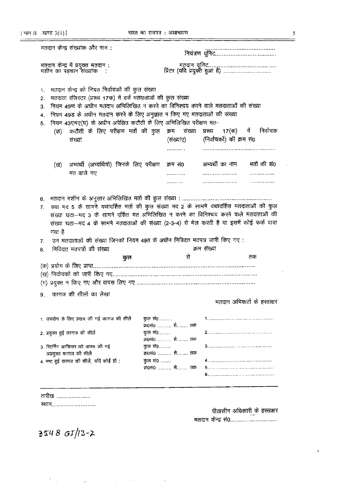[ भाग II- -खण्ड 3(ii)]

|                                                 | मतदान केन्द्र में प्रयुक्त मतदान :<br>मशीन का पहचान संख्यांक   :                                                                                                                                                                                                                                                                                                                               |                           |                                                 |             |
|-------------------------------------------------|------------------------------------------------------------------------------------------------------------------------------------------------------------------------------------------------------------------------------------------------------------------------------------------------------------------------------------------------------------------------------------------------|---------------------------|-------------------------------------------------|-------------|
| 1.<br>$\overline{2}$ .<br>3.<br>4.<br>5.<br>(ক) | भतदान केन्द्र को नियत निर्वाचकों की कुल संख्या<br>मतदाता रजिस्टर (प्ररूप 17क) में दर्ज मतदाताओं की कुल संख्या<br>नियम 49ण के अधीन मतदान अभिलिखित न करने का विनिश्चय करने वाले मतदाताओं की संख्या<br>नियम 49ड के अधीन मतदान करने के लिए अनुज्ञात न किए गए मतदाताओं की संख्या<br>नियम 43एमए(घ) के अधीन अपेक्षित कटौती के लिए अभिलिखित परीक्षण मत-<br>कटौती के लिए परीक्षण मतों की कुल<br>संख्यां | क्रम संख्या<br>(संख्यांए) | 17(क) में<br>प्ररूप<br>(निर्वाचकों) की क्रम सं0 | निर्वाचक    |
|                                                 |                                                                                                                                                                                                                                                                                                                                                                                                |                           | अभ्यर्थी का नाम                                 | मतों की सं0 |
| (ख)                                             | अभ्यर्थी (अभ्यर्थियों) जिनके लिए परीक्षण क्रम सं0<br>मत डाले गए                                                                                                                                                                                                                                                                                                                                |                           |                                                 |             |
|                                                 |                                                                                                                                                                                                                                                                                                                                                                                                | .                         |                                                 |             |
|                                                 |                                                                                                                                                                                                                                                                                                                                                                                                |                           |                                                 |             |
| 7.<br>8.                                        | उन मतदाताओं की संख्या जिनको नियम 49त के अधीन निविदत्त मतपत्र जारी किए गए:<br>निविदत्त मतपत्रों की संख्या                                                                                                                                                                                                                                                                                       |                           | क्रम संख्या                                     |             |
|                                                 | कुल                                                                                                                                                                                                                                                                                                                                                                                            | से                        |                                                 |             |
|                                                 |                                                                                                                                                                                                                                                                                                                                                                                                |                           |                                                 | तक          |
|                                                 |                                                                                                                                                                                                                                                                                                                                                                                                |                           |                                                 |             |
|                                                 |                                                                                                                                                                                                                                                                                                                                                                                                |                           |                                                 |             |
|                                                 |                                                                                                                                                                                                                                                                                                                                                                                                |                           |                                                 |             |
|                                                 | 9.    कागज की सीलों का लेखा                                                                                                                                                                                                                                                                                                                                                                    |                           | मतदान अभिकर्ता के हस्ताक्षर                     |             |
|                                                 |                                                                                                                                                                                                                                                                                                                                                                                                |                           |                                                 |             |
|                                                 | 1. उपयोग के लिए प्रदाय की गई कागज की सीलें                                                                                                                                                                                                                                                                                                                                                     | कुल सं0<br>क0सं0  से तक   |                                                 |             |
| 2. प्रयुक्त हुई कागज की सीलें                   |                                                                                                                                                                                                                                                                                                                                                                                                | कुल सं0.<br>क0सं0  से तक  |                                                 |             |
|                                                 | 3. रिटर्निंग आफिसर को वापस की गई                                                                                                                                                                                                                                                                                                                                                               | कुल सं0                   |                                                 |             |
|                                                 | अप्रयुक्त कागज की सीले                                                                                                                                                                                                                                                                                                                                                                         | क0सं0  से तक              |                                                 |             |
|                                                 | 4. नष्ट हुई कागज की सीलें, यदि कोई हों :                                                                                                                                                                                                                                                                                                                                                       | कुल सं0                   |                                                 |             |
|                                                 |                                                                                                                                                                                                                                                                                                                                                                                                | क्र0सं0  से तक            |                                                 |             |
|                                                 |                                                                                                                                                                                                                                                                                                                                                                                                |                           |                                                 |             |

 $\sim$   $\sim$ 

 $3548$   $GI/13-2$ 

 $\bar{z}$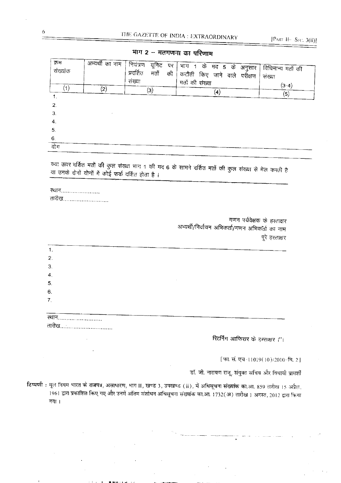| क्रम<br>संख्यांक   | अभ्यर्थी का नाम ' | । नियंत्रण<br>यूनिट पर<br>प्रदर्शित<br>मतों की<br>संख्या | भाग 1 के मद 5 के अनुसार $\overline{ }$<br>कटौती किए जाने वाले परीक्षण | विधिमान्य मतों की<br>संख्या |
|--------------------|-------------------|----------------------------------------------------------|-----------------------------------------------------------------------|-----------------------------|
| $^{\prime}$ 1 $\,$ | $\left( 2\right)$ | $\left( 3\right)$                                        | मतों की संख्या<br>$\left( 4\right)$                                   | $(3-4)$<br>(5)              |
| 2.<br>3.           |                   |                                                          |                                                                       |                             |
| 4.                 |                   |                                                          |                                                                       |                             |
| 5.<br>6.           |                   |                                                          |                                                                       |                             |
| गोग                |                   |                                                          |                                                                       |                             |

भाग 2 -- मतगणना का परिणाम

क्या ऊपर दर्शित मतों की कुल संख्या भाग 1 की मद 6 के सामने दर्शित मतों की कुल संख्या से मेल करती है या उनके दोनों योगों में कोई फर्क दर्शित होता है ।

ख्यान...................... तारीख..........................

> गणन पर्यवेक्षक के हस्ताक्षर अभ्यर्थी/निर्वाचन अभिकर्ता/गणन अभिकतैर्त का नाम पूरे हस्ताक्षर

| 1.               |  |  |
|------------------|--|--|
|                  |  |  |
| 2.               |  |  |
| 3.               |  |  |
| $\boldsymbol{4}$ |  |  |
| 5 <sub>1</sub>   |  |  |
| 6.               |  |  |
| 7.               |  |  |
|                  |  |  |
|                  |  |  |
| खान<br>तारीख     |  |  |

रिटर्निंग आफिसर के हस्ताक्षर ।''।

[फा. सं. एच-11019(10)/2010-वि. 2]

डॉ. जी. नारायण राजू, संयुक्त सचिव और विधायी प्रामर्शी

टिप्पणी : मूल नियम भारत के राजपत्र, असाधारण, भाग II, खण्ड 3, उपखण्ड (ii), में अधिसूचना संख्यांक का.आ. 859 तारीख 15 अप्रैल. .<br>1961 द्वारा प्रकाशित किए गए और उनमें अंतिम संशोधन अधिसूचना संख्याक का.आ. 1732(अ) तारीख 1 अगस्त, 2012 द्वारा किया गया।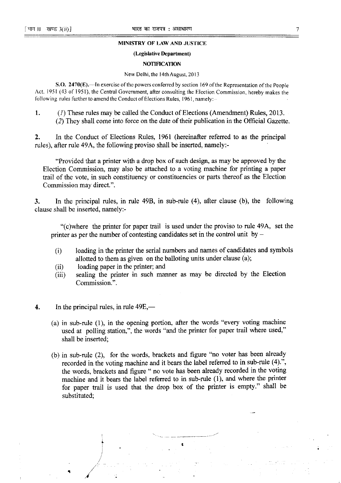#### MINISTRY OF LAW AND JUSTICE

#### (Legislative Department)

#### **NOTIFICATION**

#### New Delhi, the 14th August, 2013

S.O. 2470(E).—In exercise of the powers conferred by section 169 of the Representation of the People Act, 1951 (43 of 1951), the Central Government, after consulting the Election Commission, hereby makes the following rules further to amend the Conduct of Elections Rules, 1961, namely:--

(1) These rules may be called the Conduct of Elections (Amendment) Rules, 2013. 1. (2) They shall come into force on the date of their publication in the Official Gazette.

 $2.$ In the Conduct of Elections Rules, 1961 (hereinafter referred to as the principal rules), after rule 49A, the following proviso shall be inserted, namely:-

"Provided that a printer with a drop box of such design, as may be approved by the Election Commission, may also be attached to a voting machine for printing a paper trail of the vote, in such constituency or constituencies or parts thereof as the Election Commission may direct.".

In the principal rules, in rule 49B, in sub-rule (4), after clause (b), the following  $3.$ clause shall be inserted, namely:-

"(c) where the printer for paper trail is used under the proviso to rule 49A, set the printer as per the number of contesting candidates set in the control unit by  $-$ 

- loading in the printer the serial numbers and names of candidates and symbols  $(i)$ allotted to them as given on the balloting units under clause (a);
- loading paper in the printer; and  $(ii)$
- sealing the printer in such manner as may be directed by the Election  $(iii)$ Commission.".
- In the principal rules, in rule  $49E,$  4.
	- (a) in sub-rule  $(1)$ , in the opening portion, after the words "every voting machine used at polling station,", the words "and the printer for paper trail where used," shall be inserted:
	- (b) in sub-rule (2), for the words, brackets and figure "no voter has been already recorded in the voting machine and it bears the label referred to in sub-rule (4).", the words, brackets and figure " no vote has been already recorded in the voting machine and it bears the label referred to in sub-rule (1), and where the printer for paper trail is used that the drop box of the printer is empty." shall be substituted: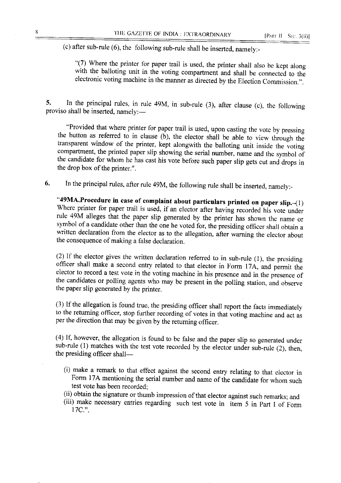(c) after sub-rule  $(6)$ , the following sub-rule shall be inserted, namely:-

"(7) Where the printer for paper trail is used, the printer shall also be kept along with the balloting unit in the voting compartment and shall be connected to the electronic voting machine in the manner as directed by the Election Commission.".

In the principal rules, in rule 49M, in sub-rule  $(3)$ , after clause  $(c)$ , the following 5. proviso shall be inserted, namely:-

"Provided that where printer for paper trail is used, upon casting the vote by pressing the button as referred to in clause (b), the elector shall be able to view through the transparent window of the printer, kept alongwith the balloting unit inside the voting compartment, the printed paper slip showing the serial number, name and the symbol of the candidate for whom he has cast his vote before such paper slip gets cut and drops in the drop box of the printer.".

In the principal rules, after rule 49M, the following rule shall be inserted, namely:-6.

"49MA.Procedure in case of complaint about particulars printed on paper slip.-(1) Where printer for paper trail is used, if an elector after having recorded his vote under rule 49M alleges that the paper slip generated by the printer has shown the name or symbol of a candidate other than the one he voted for, the presiding officer shall obtain a written declaration from the elector as to the allegation, after warning the elector about the consequence of making a false declaration.

(2) If the elector gives the written declaration referred to in sub-rule (1), the presiding officer shall make a second entry related to that elector in Form 17A, and permit the elector to record a test vote in the voting machine in his presence and in the presence of the candidates or polling agents who may be present in the polling station, and observe the paper slip generated by the printer.

(3) If the allegation is found true, the presiding officer shall report the facts immediately to the returning officer, stop further recording of votes in that voting machine and act as per the direction that may be given by the returning officer.

(4) If, however, the allegation is found to be false and the paper slip so generated under sub-rule (1) matches with the test vote recorded by the elector under sub-rule (2), then, the presiding officer shall-

- (i) make a remark to that effect against the second entry relating to that elector in Form 17A mentioning the serial number and name of the candidate for whom such test vote has been recorded;
- (ii) obtain the signature or thumb impression of that elector against such remarks; and
- (iii) make necessary entries regarding such test vote in item 5 in Part I of Form 17C."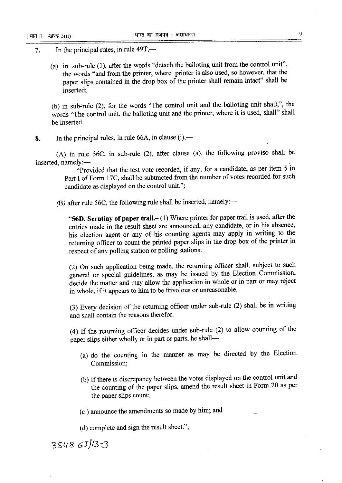- In the principal rules, in rule 49T,— 7.
	- (a) in sub-rule (1), after the words "detach the balloting unit from the control unit", the words "and from the printer, where printer is also used, so however, that the paper slips contained in the drop box of the printer shall remain intact" shall be inserted:

(b) in sub-rule (2), for the words "The control unit and the balloting unit shall,", the words "The control unit, the balloting unit and the printer, where it is used, shall" shall be inserted.

In the principal rules, in rule 66A, in clause  $(i)$ ,— 8.

(A) in rule 56C, in sub-rule (2), after clause (a), the following proviso shall be inserted, namely:-

"Provided that the test vote recorded, if any, for a candidate, as per item 5 in Part I of Form 17C, shall be subtracted from the number of votes recorded for such candidate as displayed on the control unit.";

(B) after rule 56C, the following rule shall be inserted, namely:-

"56D. Scrutiny of paper trail. $- (1)$  Where printer for paper trail is used, after the entries made in the result sheet are announced, any candidate, or in his absence, his election agent or any of his counting agents may apply in writing to the returning officer to count the printed paper slips in the drop box of the printer in respect of any polling station or polling stations.

(2) On such application being made, the returning officer shall, subject to such general or special guidelines, as may be issued by the Election Commission, decide the matter and may allow the application in whole or in part or may reject in whole, if it appears to him to be frivolous or unreasonable.

(3) Every decision of the returning officer under sub-rule (2) shall be in writing and shall contain the reasons therefor.

(4) If the returning officer decides under sub-rule (2) to allow counting of the paper slips either wholly or in part or parts, he shall-

- (a) do the counting in the manner as may be directed by the Election Commission;
- (b) if there is discrepancy between the votes displayed on the control unit and the counting of the paper slips, amend the result sheet in Form 20 as per the paper slips count;

(c) announce the amendments so made by him; and

(d) complete and sign the result sheet.";

 $354867/33$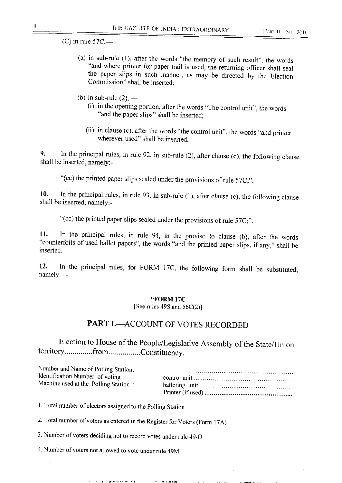$(C)$  in rule 57C,—

- (a) in sub-rule  $(1)$ , after the words "the memory of such result", the words "and where printer for paper trail is used, the returning officer shall seal the paper slips in such manner, as may be directed by the Election Commission" shall be inserted:
- (b) in sub-rule  $(2)$ ,
	- (i) in the opening portion, after the words "The control unit", the words "and the paper slips" shall be inserted;
	- (ii) in clause (c), after the words "the control unit", the words "and printer wherever used" shall be inserted.

In the principal rules, in rule  $92$ , in sub-rule  $(2)$ , after clause  $(c)$ , the following clause 9. shall be inserted, namely:-

"(cc) the printed paper slips sealed under the provisions of rule 57C;".

In the principal rules, in rule 93, in sub-rule  $(1)$ , after clause  $(c)$ , the following clause 10. shall be inserted, namely:-

"(cc) the printed paper slips sealed under the provisions of rule 57C;".

In the principal rules, in rule 94, in the proviso to clause (b), after the words 11. "counterfoils of used ballot papers", the words "and the printed paper slips, if any," shall be inserted.

In the principal rules, for FORM 17C, the following form shall be substituted,  $12.$ namely:-

#### "FORM 17C

[See rules 49S and  $56C(2)$ ]

## **PART I.--ACCOUNT OF VOTES RECORDED**

Election to House of the People/Legislative Assembly of the State/Union territory..............from................Constituency.

| Number and Name of Polling Station:                                     |  |
|-------------------------------------------------------------------------|--|
| Identification Number of voting<br>Machine used at the Polling Station: |  |
|                                                                         |  |

1. Total number of electors assigned to the Polling Station

2. Total number of voters as entered in the Register for Voters (Form 17A)

3. Number of voters deciding not to record votes under rule 49-O

4. Number of voters not allowed to vote under rule 49M

**THE R. P. LEWIS CO., LANSING MICH.**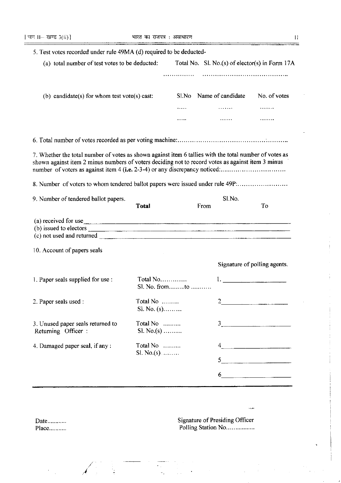$\equiv$ 

| 5. Test votes recorded under rule 49MA (d) required to be deducted-                                                                                                                                                                                                                        |                            |       |                |                                                                                                                                                                                                                                                  |  |
|--------------------------------------------------------------------------------------------------------------------------------------------------------------------------------------------------------------------------------------------------------------------------------------------|----------------------------|-------|----------------|--------------------------------------------------------------------------------------------------------------------------------------------------------------------------------------------------------------------------------------------------|--|
| (a) total number of test votes to be deducted:                                                                                                                                                                                                                                             |                            |       |                | Total No. Sl. No.(s) of elector(s) in Form 17A                                                                                                                                                                                                   |  |
|                                                                                                                                                                                                                                                                                            |                            | .     |                |                                                                                                                                                                                                                                                  |  |
| (b) candidate(s) for whom test vote(s) cast:                                                                                                                                                                                                                                               |                            | Sl.No |                | Name of candidate No. of votes                                                                                                                                                                                                                   |  |
|                                                                                                                                                                                                                                                                                            |                            |       |                |                                                                                                                                                                                                                                                  |  |
|                                                                                                                                                                                                                                                                                            |                            |       |                |                                                                                                                                                                                                                                                  |  |
|                                                                                                                                                                                                                                                                                            |                            |       |                |                                                                                                                                                                                                                                                  |  |
| 7. Whether the total number of votes as shown against item 6 tallies with the total number of votes as<br>shown against item 2 minus numbers of voters deciding not to record votes as against item 3 minus<br>number of voters as against item 4 (i.e. 2-3-4) or any discrepancy noticed: |                            |       |                |                                                                                                                                                                                                                                                  |  |
| 8. Number of voters to whom tendered ballot papers were issued under rule 49P:                                                                                                                                                                                                             |                            |       |                |                                                                                                                                                                                                                                                  |  |
| 9. Number of tendered ballot papers.                                                                                                                                                                                                                                                       | <b>Total</b>               |       | Sl.No.<br>From | To                                                                                                                                                                                                                                               |  |
|                                                                                                                                                                                                                                                                                            |                            |       |                |                                                                                                                                                                                                                                                  |  |
| (a) received for use<br>(b) issued to electors                                                                                                                                                                                                                                             |                            |       |                |                                                                                                                                                                                                                                                  |  |
|                                                                                                                                                                                                                                                                                            |                            |       |                |                                                                                                                                                                                                                                                  |  |
| 10. Account of papers seals                                                                                                                                                                                                                                                                |                            |       |                |                                                                                                                                                                                                                                                  |  |
|                                                                                                                                                                                                                                                                                            |                            |       |                | Signature of polling agents.                                                                                                                                                                                                                     |  |
| 1. Paper seals supplied for use :                                                                                                                                                                                                                                                          | Total No<br>Sl. No. fromto |       |                | 1.                                                                                                                                                                                                                                               |  |
| 2. Paper seals used :                                                                                                                                                                                                                                                                      | Total No<br>$S. No. (s)$   |       |                | the control of the control of the control of the control of the control of the control of                                                                                                                                                        |  |
| 3. Unused paper seals returned to<br>Returning Officer :                                                                                                                                                                                                                                   | Total No<br>Sl. No.(s)     |       |                | $\begin{array}{c c c c c} \hline \rule{0pt}{8ex} & \rule{0pt}{8ex} \multicolumn{3}{8pt} \multicolumn{3}{*}{\textbf{2}} & \multicolumn{3}{*}{\textbf{3}} & \multicolumn{3}{*}{\textbf{4}} & \multicolumn{3}{*}{\textbf{5}} \\ \hline \end{array}$ |  |
| 4. Damaged paper seal, if any :                                                                                                                                                                                                                                                            | Total No<br>$SL No(s)$     |       |                | $4\frac{1}{2}$                                                                                                                                                                                                                                   |  |
|                                                                                                                                                                                                                                                                                            |                            |       |                | 5                                                                                                                                                                                                                                                |  |
|                                                                                                                                                                                                                                                                                            |                            |       |                | $6 \overline{\phantom{a}}$                                                                                                                                                                                                                       |  |
|                                                                                                                                                                                                                                                                                            |                            |       |                |                                                                                                                                                                                                                                                  |  |

 $\sigma_{\rm{max}}$ 

 $\mathcal{A}_{\mu\nu}$ 

 $\frac{1}{2}$  .

 $\frac{1}{2}$ 

 $\textbf{Date}$ .... Place........... Signature of Presiding Officer<br>Polling Station No................

.<br>Sam